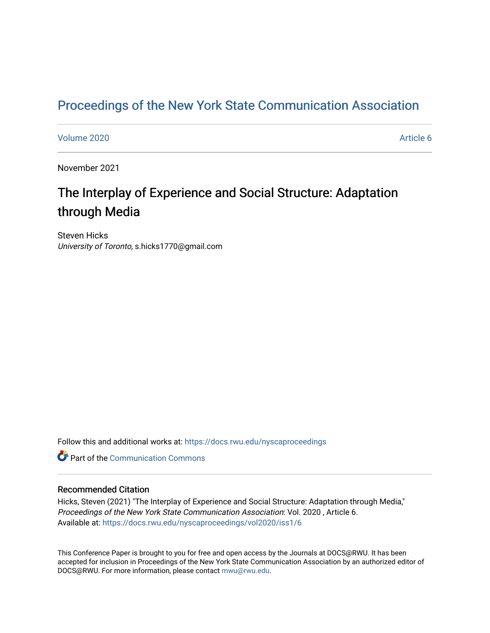# [Proceedings of the New York State Communication Association](https://docs.rwu.edu/nyscaproceedings)

### [Volume 2020](https://docs.rwu.edu/nyscaproceedings/vol2020) **Article 6**

November 2021

# The Interplay of Experience and Social Structure: Adaptation through Media

Steven Hicks University of Toronto, s.hicks1770@gmail.com

Follow this and additional works at: [https://docs.rwu.edu/nyscaproceedings](https://docs.rwu.edu/nyscaproceedings?utm_source=docs.rwu.edu%2Fnyscaproceedings%2Fvol2020%2Fiss1%2F6&utm_medium=PDF&utm_campaign=PDFCoverPages)

**C** Part of the Communication Commons

#### Recommended Citation

Hicks, Steven (2021) "The Interplay of Experience and Social Structure: Adaptation through Media," Proceedings of the New York State Communication Association: Vol. 2020 , Article 6. Available at: [https://docs.rwu.edu/nyscaproceedings/vol2020/iss1/6](https://docs.rwu.edu/nyscaproceedings/vol2020/iss1/6?utm_source=docs.rwu.edu%2Fnyscaproceedings%2Fvol2020%2Fiss1%2F6&utm_medium=PDF&utm_campaign=PDFCoverPages)

This Conference Paper is brought to you for free and open access by the Journals at DOCS@RWU. It has been accepted for inclusion in Proceedings of the New York State Communication Association by an authorized editor of DOCS@RWU. For more information, please contact [mwu@rwu.edu.](mailto:mwu@rwu.edu)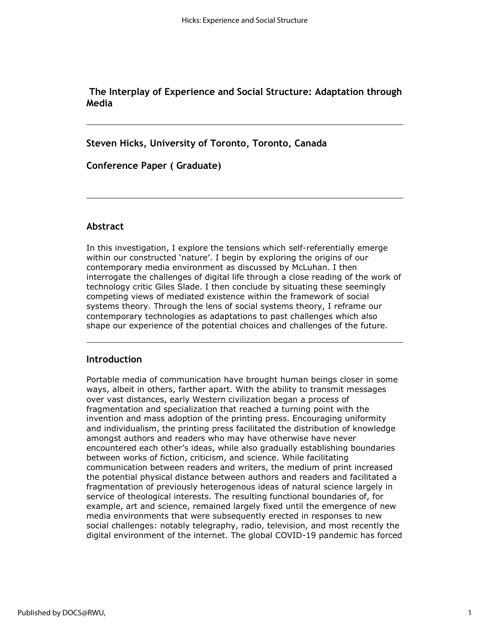**The Interplay of Experience and Social Structure: Adaptation through Media**

**Steven Hicks, University of Toronto, Toronto, Canada**

**Conference Paper ( Graduate)**

### **Abstract**

In this investigation, I explore the tensions which self-referentially emerge within our constructed 'nature'. I begin by exploring the origins of our contemporary media environment as discussed by McLuhan. I then interrogate the challenges of digital life through a close reading of the work of technology critic Giles Slade. I then conclude by situating these seemingly competing views of mediated existence within the framework of social systems theory. Through the lens of social systems theory, I reframe our contemporary technologies as adaptations to past challenges which also shape our experience of the potential choices and challenges of the future.

## **Introduction**

Portable media of communication have brought human beings closer in some ways, albeit in others, farther apart. With the ability to transmit messages over vast distances, early Western civilization began a process of fragmentation and specialization that reached a turning point with the invention and mass adoption of the printing press. Encouraging uniformity and individualism, the printing press facilitated the distribution of knowledge amongst authors and readers who may have otherwise have never encountered each other's ideas, while also gradually establishing boundaries between works of fiction, criticism, and science. While facilitating communication between readers and writers, the medium of print increased the potential physical distance between authors and readers and facilitated a fragmentation of previously heterogenous ideas of natural science largely in service of theological interests. The resulting functional boundaries of, for example, art and science, remained largely fixed until the emergence of new media environments that were subsequently erected in responses to new social challenges: notably telegraphy, radio, television, and most recently the digital environment of the internet. The global COVID-19 pandemic has forced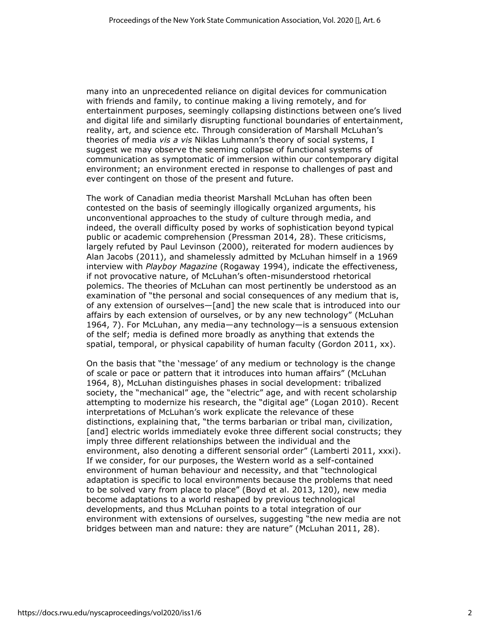many into an unprecedented reliance on digital devices for communication with friends and family, to continue making a living remotely, and for entertainment purposes, seemingly collapsing distinctions between one's lived and digital life and similarly disrupting functional boundaries of entertainment, reality, art, and science etc. Through consideration of Marshall McLuhan's theories of media *vis a vis* Niklas Luhmann's theory of social systems, I suggest we may observe the seeming collapse of functional systems of communication as symptomatic of immersion within our contemporary digital environment; an environment erected in response to challenges of past and ever contingent on those of the present and future.

The work of Canadian media theorist Marshall McLuhan has often been contested on the basis of seemingly illogically organized arguments, his unconventional approaches to the study of culture through media, and indeed, the overall difficulty posed by works of sophistication beyond typical public or academic comprehension (Pressman 2014, 28). These criticisms, largely refuted by Paul Levinson (2000), reiterated for modern audiences by Alan Jacobs (2011), and shamelessly admitted by McLuhan himself in a 1969 interview with *Playboy Magazine* (Rogaway 1994), indicate the effectiveness, if not provocative nature, of McLuhan's often-misunderstood rhetorical polemics. The theories of McLuhan can most pertinently be understood as an examination of "the personal and social consequences of any medium that is, of any extension of ourselves—[and] the new scale that is introduced into our affairs by each extension of ourselves, or by any new technology" (McLuhan 1964, 7). For McLuhan, any media—any technology—is a sensuous extension of the self; media is defined more broadly as anything that extends the spatial, temporal, or physical capability of human faculty (Gordon 2011, xx).

On the basis that "the 'message' of any medium or technology is the change of scale or pace or pattern that it introduces into human affairs" (McLuhan 1964, 8), McLuhan distinguishes phases in social development: tribalized society, the "mechanical" age, the "electric" age, and with recent scholarship attempting to modernize his research, the "digital age" (Logan 2010). Recent interpretations of McLuhan's work explicate the relevance of these distinctions, explaining that, "the terms barbarian or tribal man, civilization, [and] electric worlds immediately evoke three different social constructs; they imply three different relationships between the individual and the environment, also denoting a different sensorial order" (Lamberti 2011, xxxi). If we consider, for our purposes, the Western world as a self-contained environment of human behaviour and necessity, and that "technological adaptation is specific to local environments because the problems that need to be solved vary from place to place" (Boyd et al. 2013, 120), new media become adaptations to a world reshaped by previous technological developments, and thus McLuhan points to a total integration of our environment with extensions of ourselves, suggesting "the new media are not bridges between man and nature: they are nature" (McLuhan 2011, 28).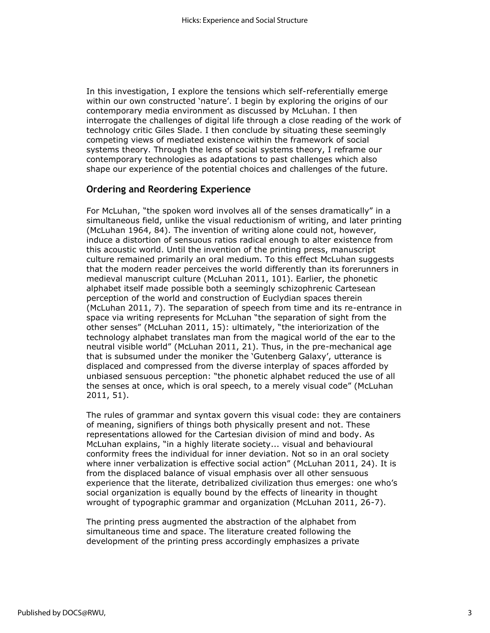In this investigation, I explore the tensions which self-referentially emerge within our own constructed 'nature'. I begin by exploring the origins of our contemporary media environment as discussed by McLuhan. I then interrogate the challenges of digital life through a close reading of the work of technology critic Giles Slade. I then conclude by situating these seemingly competing views of mediated existence within the framework of social systems theory. Through the lens of social systems theory, I reframe our contemporary technologies as adaptations to past challenges which also shape our experience of the potential choices and challenges of the future.

## **Ordering and Reordering Experience**

For McLuhan, "the spoken word involves all of the senses dramatically" in a simultaneous field, unlike the visual reductionism of writing, and later printing (McLuhan 1964, 84). The invention of writing alone could not, however, induce a distortion of sensuous ratios radical enough to alter existence from this acoustic world. Until the invention of the printing press, manuscript culture remained primarily an oral medium. To this effect McLuhan suggests that the modern reader perceives the world differently than its forerunners in medieval manuscript culture (McLuhan 2011, 101). Earlier, the phonetic alphabet itself made possible both a seemingly schizophrenic Cartesean perception of the world and construction of Euclydian spaces therein (McLuhan 2011, 7). The separation of speech from time and its re-entrance in space via writing represents for McLuhan "the separation of sight from the other senses" (McLuhan 2011, 15): ultimately, "the interiorization of the technology alphabet translates man from the magical world of the ear to the neutral visible world" (McLuhan 2011, 21). Thus, in the pre-mechanical age that is subsumed under the moniker the 'Gutenberg Galaxy', utterance is displaced and compressed from the diverse interplay of spaces afforded by unbiased sensuous perception: "the phonetic alphabet reduced the use of all the senses at once, which is oral speech, to a merely visual code" (McLuhan 2011, 51).

The rules of grammar and syntax govern this visual code: they are containers of meaning, signifiers of things both physically present and not. These representations allowed for the Cartesian division of mind and body. As McLuhan explains, "in a highly literate society... visual and behavioural conformity frees the individual for inner deviation. Not so in an oral society where inner verbalization is effective social action" (McLuhan 2011, 24). It is from the displaced balance of visual emphasis over all other sensuous experience that the literate, detribalized civilization thus emerges: one who's social organization is equally bound by the effects of linearity in thought wrought of typographic grammar and organization (McLuhan 2011, 26-7).

The printing press augmented the abstraction of the alphabet from simultaneous time and space. The literature created following the development of the printing press accordingly emphasizes a private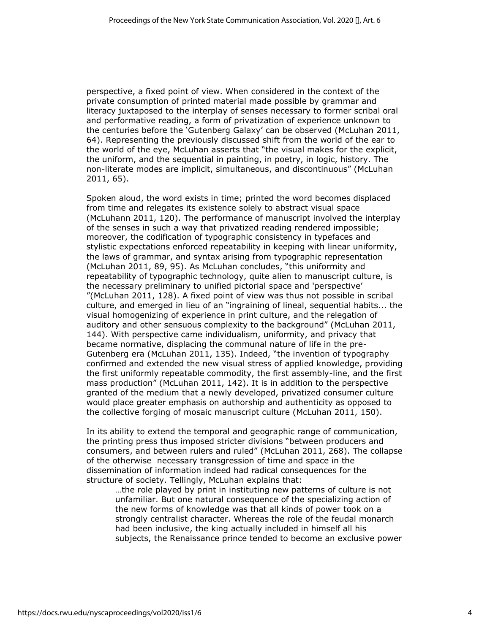perspective, a fixed point of view. When considered in the context of the private consumption of printed material made possible by grammar and literacy juxtaposed to the interplay of senses necessary to former scribal oral and performative reading, a form of privatization of experience unknown to the centuries before the 'Gutenberg Galaxy' can be observed (McLuhan 2011, 64). Representing the previously discussed shift from the world of the ear to the world of the eye, McLuhan asserts that "the visual makes for the explicit, the uniform, and the sequential in painting, in poetry, in logic, history. The non-literate modes are implicit, simultaneous, and discontinuous" (McLuhan 2011, 65).

Spoken aloud, the word exists in time; printed the word becomes displaced from time and relegates its existence solely to abstract visual space (McLuhann 2011, 120). The performance of manuscript involved the interplay of the senses in such a way that privatized reading rendered impossible; moreover, the codification of typographic consistency in typefaces and stylistic expectations enforced repeatability in keeping with linear uniformity, the laws of grammar, and syntax arising from typographic representation (McLuhan 2011, 89, 95). As McLuhan concludes, "this uniformity and repeatability of typographic technology, quite alien to manuscript culture, is the necessary preliminary to unified pictorial space and 'perspective' "(McLuhan 2011, 128). A fixed point of view was thus not possible in scribal culture, and emerged in lieu of an "ingraining of lineal, sequential habits... the visual homogenizing of experience in print culture, and the relegation of auditory and other sensuous complexity to the background" (McLuhan 2011, 144). With perspective came individualism, uniformity, and privacy that became normative, displacing the communal nature of life in the pre-Gutenberg era (McLuhan 2011, 135). Indeed, "the invention of typography confirmed and extended the new visual stress of applied knowledge, providing the first uniformly repeatable commodity, the first assembly-line, and the first mass production" (McLuhan 2011, 142). It is in addition to the perspective granted of the medium that a newly developed, privatized consumer culture would place greater emphasis on authorship and authenticity as opposed to the collective forging of mosaic manuscript culture (McLuhan 2011, 150).

In its ability to extend the temporal and geographic range of communication, the printing press thus imposed stricter divisions "between producers and consumers, and between rulers and ruled" (McLuhan 2011, 268). The collapse of the otherwise necessary transgression of time and space in the dissemination of information indeed had radical consequences for the structure of society. Tellingly, McLuhan explains that:

…the role played by print in instituting new patterns of culture is not unfamiliar. But one natural consequence of the specializing action of the new forms of knowledge was that all kinds of power took on a strongly centralist character. Whereas the role of the feudal monarch had been inclusive, the king actually included in himself all his subjects, the Renaissance prince tended to become an exclusive power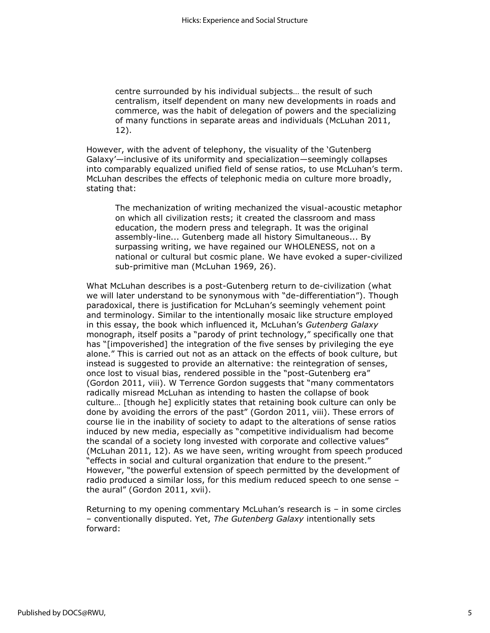centre surrounded by his individual subjects… the result of such centralism, itself dependent on many new developments in roads and commerce, was the habit of delegation of powers and the specializing of many functions in separate areas and individuals (McLuhan 2011, 12).

However, with the advent of telephony, the visuality of the 'Gutenberg Galaxy'—inclusive of its uniformity and specialization—seemingly collapses into comparably equalized unified field of sense ratios, to use McLuhan's term. McLuhan describes the effects of telephonic media on culture more broadly, stating that:

The mechanization of writing mechanized the visual-acoustic metaphor on which all civilization rests; it created the classroom and mass education, the modern press and telegraph. It was the original assembly-line... Gutenberg made all history Simultaneous... By surpassing writing, we have regained our WHOLENESS, not on a national or cultural but cosmic plane. We have evoked a super-civilized sub-primitive man (McLuhan 1969, 26).

What McLuhan describes is a post-Gutenberg return to de-civilization (what we will later understand to be synonymous with "de-differentiation"). Though paradoxical, there is justification for McLuhan's seemingly vehement point and terminology. Similar to the intentionally mosaic like structure employed in this essay, the book which influenced it, McLuhan's *Gutenberg Galaxy*  monograph, itself posits a "parody of print technology," specifically one that has "[impoverished] the integration of the five senses by privileging the eye alone." This is carried out not as an attack on the effects of book culture, but instead is suggested to provide an alternative: the reintegration of senses, once lost to visual bias, rendered possible in the "post-Gutenberg era" (Gordon 2011, viii). W Terrence Gordon suggests that "many commentators radically misread McLuhan as intending to hasten the collapse of book culture… [though he] explicitly states that retaining book culture can only be done by avoiding the errors of the past" (Gordon 2011, viii). These errors of course lie in the inability of society to adapt to the alterations of sense ratios induced by new media, especially as "competitive individualism had become the scandal of a society long invested with corporate and collective values" (McLuhan 2011, 12). As we have seen, writing wrought from speech produced "effects in social and cultural organization that endure to the present." However, "the powerful extension of speech permitted by the development of radio produced a similar loss, for this medium reduced speech to one sense – the aural" (Gordon 2011, xvii).

Returning to my opening commentary McLuhan's research is – in some circles – conventionally disputed. Yet, *The Gutenberg Galaxy* intentionally sets forward: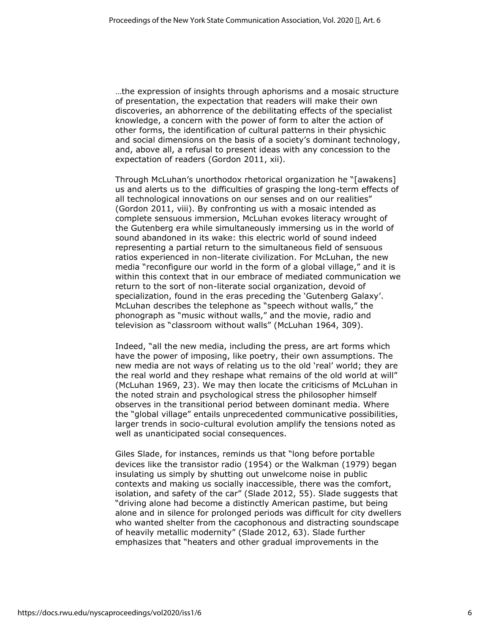…the expression of insights through aphorisms and a mosaic structure of presentation, the expectation that readers will make their own discoveries, an abhorrence of the debilitating effects of the specialist knowledge, a concern with the power of form to alter the action of other forms, the identification of cultural patterns in their physichic and social dimensions on the basis of a society's dominant technology, and, above all, a refusal to present ideas with any concession to the expectation of readers (Gordon 2011, xii).

Through McLuhan's unorthodox rhetorical organization he "[awakens] us and alerts us to the difficulties of grasping the long-term effects of all technological innovations on our senses and on our realities" (Gordon 2011, viii). By confronting us with a mosaic intended as complete sensuous immersion, McLuhan evokes literacy wrought of the Gutenberg era while simultaneously immersing us in the world of sound abandoned in its wake: this electric world of sound indeed representing a partial return to the simultaneous field of sensuous ratios experienced in non-literate civilization. For McLuhan, the new media "reconfigure our world in the form of a global village," and it is within this context that in our embrace of mediated communication we return to the sort of non-literate social organization, devoid of specialization, found in the eras preceding the 'Gutenberg Galaxy'. McLuhan describes the telephone as "speech without walls," the phonograph as "music without walls," and the movie, radio and television as "classroom without walls" (McLuhan 1964, 309).

Indeed, "all the new media, including the press, are art forms which have the power of imposing, like poetry, their own assumptions. The new media are not ways of relating us to the old 'real' world; they are the real world and they reshape what remains of the old world at will" (McLuhan 1969, 23). We may then locate the criticisms of McLuhan in the noted strain and psychological stress the philosopher himself observes in the transitional period between dominant media. Where the "global village" entails unprecedented communicative possibilities, larger trends in socio-cultural evolution amplify the tensions noted as well as unanticipated social consequences.

Giles Slade, for instances, reminds us that "long before portable devices like the transistor radio (1954) or the Walkman (1979) began insulating us simply by shutting out unwelcome noise in public contexts and making us socially inaccessible, there was the comfort, isolation, and safety of the car" (Slade 2012, 55). Slade suggests that "driving alone had become a distinctly American pastime, but being alone and in silence for prolonged periods was difficult for city dwellers who wanted shelter from the cacophonous and distracting soundscape of heavily metallic modernity" (Slade 2012, 63). Slade further emphasizes that "heaters and other gradual improvements in the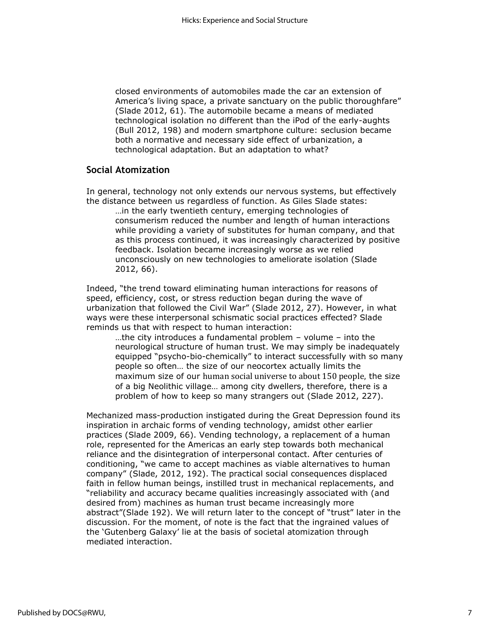closed environments of automobiles made the car an extension of America's living space, a private sanctuary on the public thoroughfare" (Slade 2012, 61). The automobile became a means of mediated technological isolation no different than the iPod of the early-aughts (Bull 2012, 198) and modern smartphone culture: seclusion became both a normative and necessary side effect of urbanization, a technological adaptation. But an adaptation to what?

## **Social Atomization**

In general, technology not only extends our nervous systems, but effectively the distance between us regardless of function. As Giles Slade states: …in the early twentieth century, emerging technologies of consumerism reduced the number and length of human interactions while providing a variety of substitutes for human company, and that as this process continued, it was increasingly characterized by positive feedback. Isolation became increasingly worse as we relied unconsciously on new technologies to ameliorate isolation (Slade 2012, 66).

Indeed, "the trend toward eliminating human interactions for reasons of speed, efficiency, cost, or stress reduction began during the wave of urbanization that followed the Civil War" (Slade 2012, 27). However, in what ways were these interpersonal schismatic social practices effected? Slade reminds us that with respect to human interaction:

…the city introduces a fundamental problem – volume – into the neurological structure of human trust. We may simply be inadequately equipped "psycho-bio-chemically" to interact successfully with so many people so often… the size of our neocortex actually limits the maximum size of our human social universe to about 150 people, the size of a big Neolithic village… among city dwellers, therefore, there is a problem of how to keep so many strangers out (Slade 2012, 227).

Mechanized mass-production instigated during the Great Depression found its inspiration in archaic forms of vending technology, amidst other earlier practices (Slade 2009, 66). Vending technology, a replacement of a human role, represented for the Americas an early step towards both mechanical reliance and the disintegration of interpersonal contact. After centuries of conditioning, "we came to accept machines as viable alternatives to human company" (Slade, 2012, 192). The practical social consequences displaced faith in fellow human beings, instilled trust in mechanical replacements, and "reliability and accuracy became qualities increasingly associated with (and desired from) machines as human trust became increasingly more abstract"(Slade 192). We will return later to the concept of "trust" later in the discussion. For the moment, of note is the fact that the ingrained values of the 'Gutenberg Galaxy' lie at the basis of societal atomization through mediated interaction.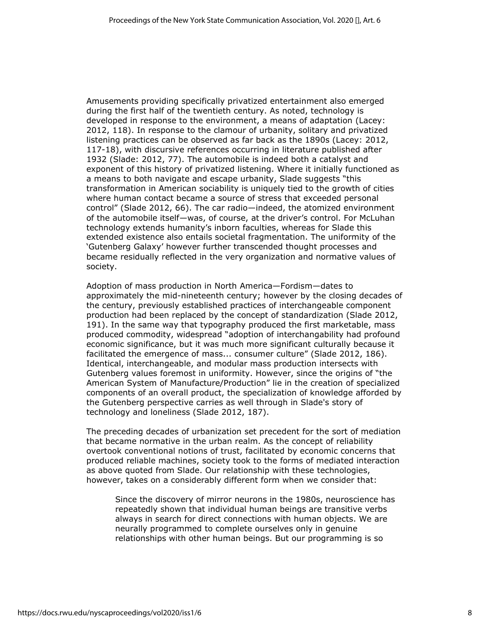Amusements providing specifically privatized entertainment also emerged during the first half of the twentieth century. As noted, technology is developed in response to the environment, a means of adaptation (Lacey: 2012, 118). In response to the clamour of urbanity, solitary and privatized listening practices can be observed as far back as the 1890s (Lacey: 2012, 117-18), with discursive references occurring in literature published after 1932 (Slade: 2012, 77). The automobile is indeed both a catalyst and exponent of this history of privatized listening. Where it initially functioned as a means to both navigate and escape urbanity, Slade suggests "this transformation in American sociability is uniquely tied to the growth of cities where human contact became a source of stress that exceeded personal control" (Slade 2012, 66). The car radio—indeed, the atomized environment of the automobile itself—was, of course, at the driver's control. For McLuhan technology extends humanity's inborn faculties, whereas for Slade this extended existence also entails societal fragmentation. The uniformity of the 'Gutenberg Galaxy' however further transcended thought processes and became residually reflected in the very organization and normative values of society.

Adoption of mass production in North America—Fordism—dates to approximately the mid-nineteenth century; however by the closing decades of the century, previously established practices of interchangeable component production had been replaced by the concept of standardization (Slade 2012, 191). In the same way that typography produced the first marketable, mass produced commodity, widespread "adoption of interchangability had profound economic significance, but it was much more significant culturally because it facilitated the emergence of mass... consumer culture" (Slade 2012, 186). Identical, interchangeable, and modular mass production intersects with Gutenberg values foremost in uniformity. However, since the origins of "the American System of Manufacture/Production" lie in the creation of specialized components of an overall product, the specialization of knowledge afforded by the Gutenberg perspective carries as well through in Slade's story of technology and loneliness (Slade 2012, 187).

The preceding decades of urbanization set precedent for the sort of mediation that became normative in the urban realm. As the concept of reliability overtook conventional notions of trust, facilitated by economic concerns that produced reliable machines, society took to the forms of mediated interaction as above quoted from Slade. Our relationship with these technologies, however, takes on a considerably different form when we consider that:

Since the discovery of mirror neurons in the 1980s, neuroscience has repeatedly shown that individual human beings are transitive verbs always in search for direct connections with human objects. We are neurally programmed to complete ourselves only in genuine relationships with other human beings. But our programming is so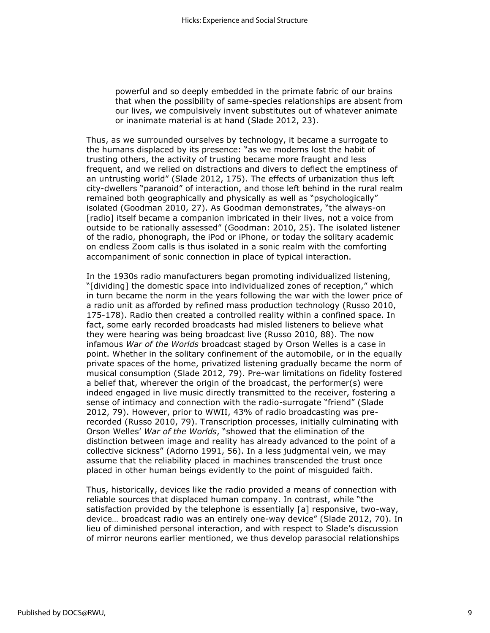powerful and so deeply embedded in the primate fabric of our brains that when the possibility of same-species relationships are absent from our lives, we compulsively invent substitutes out of whatever animate or inanimate material is at hand (Slade 2012, 23).

Thus, as we surrounded ourselves by technology, it became a surrogate to the humans displaced by its presence: "as we moderns lost the habit of trusting others, the activity of trusting became more fraught and less frequent, and we relied on distractions and divers to deflect the emptiness of an untrusting world" (Slade 2012, 175). The effects of urbanization thus left city-dwellers "paranoid" of interaction, and those left behind in the rural realm remained both geographically and physically as well as "psychologically" isolated (Goodman 2010, 27). As Goodman demonstrates, "the always-on [radio] itself became a companion imbricated in their lives, not a voice from outside to be rationally assessed" (Goodman: 2010, 25). The isolated listener of the radio, phonograph, the iPod or iPhone, or today the solitary academic on endless Zoom calls is thus isolated in a sonic realm with the comforting accompaniment of sonic connection in place of typical interaction.

In the 1930s radio manufacturers began promoting individualized listening, "[dividing] the domestic space into individualized zones of reception," which in turn became the norm in the years following the war with the lower price of a radio unit as afforded by refined mass production technology (Russo 2010, 175-178). Radio then created a controlled reality within a confined space. In fact, some early recorded broadcasts had misled listeners to believe what they were hearing was being broadcast live (Russo 2010, 88). The now infamous *War of the Worlds* broadcast staged by Orson Welles is a case in point. Whether in the solitary confinement of the automobile, or in the equally private spaces of the home, privatized listening gradually became the norm of musical consumption (Slade 2012, 79). Pre-war limitations on fidelity fostered a belief that, wherever the origin of the broadcast, the performer(s) were indeed engaged in live music directly transmitted to the receiver, fostering a sense of intimacy and connection with the radio-surrogate "friend" (Slade 2012, 79). However, prior to WWII, 43% of radio broadcasting was prerecorded (Russo 2010, 79). Transcription processes, initially culminating with Orson Welles' *War of the Worlds*, "showed that the elimination of the distinction between image and reality has already advanced to the point of a collective sickness" (Adorno 1991, 56). In a less judgmental vein, we may assume that the reliability placed in machines transcended the trust once placed in other human beings evidently to the point of misguided faith.

Thus, historically, devices like the radio provided a means of connection with reliable sources that displaced human company. In contrast, while "the satisfaction provided by the telephone is essentially [a] responsive, two-way, device… broadcast radio was an entirely one-way device" (Slade 2012, 70). In lieu of diminished personal interaction, and with respect to Slade's discussion of mirror neurons earlier mentioned, we thus develop parasocial relationships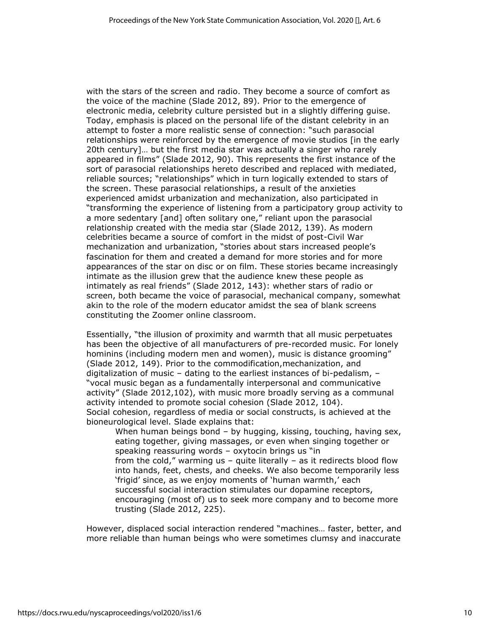with the stars of the screen and radio. They become a source of comfort as the voice of the machine (Slade 2012, 89). Prior to the emergence of electronic media, celebrity culture persisted but in a slightly differing guise. Today, emphasis is placed on the personal life of the distant celebrity in an attempt to foster a more realistic sense of connection: "such parasocial relationships were reinforced by the emergence of movie studios [in the early 20th century]… but the first media star was actually a singer who rarely appeared in films" (Slade 2012, 90). This represents the first instance of the sort of parasocial relationships hereto described and replaced with mediated, reliable sources; "relationships" which in turn logically extended to stars of the screen. These parasocial relationships, a result of the anxieties experienced amidst urbanization and mechanization, also participated in "transforming the experience of listening from a participatory group activity to a more sedentary [and] often solitary one," reliant upon the parasocial relationship created with the media star (Slade 2012, 139). As modern celebrities became a source of comfort in the midst of post-Civil War mechanization and urbanization, "stories about stars increased people's fascination for them and created a demand for more stories and for more appearances of the star on disc or on film. These stories became increasingly intimate as the illusion grew that the audience knew these people as intimately as real friends" (Slade 2012, 143): whether stars of radio or screen, both became the voice of parasocial, mechanical company, somewhat akin to the role of the modern educator amidst the sea of blank screens constituting the Zoomer online classroom.

Essentially, "the illusion of proximity and warmth that all music perpetuates has been the objective of all manufacturers of pre-recorded music. For lonely hominins (including modern men and women), music is distance grooming" (Slade 2012, 149). Prior to the commodification,mechanization, and digitalization of music – dating to the earliest instances of bi-pedalism, – "vocal music began as a fundamentally interpersonal and communicative activity" (Slade 2012,102), with music more broadly serving as a communal activity intended to promote social cohesion (Slade 2012, 104). Social cohesion, regardless of media or social constructs, is achieved at the bioneurological level. Slade explains that:

When human beings bond - by hugging, kissing, touching, having sex, eating together, giving massages, or even when singing together or speaking reassuring words – oxytocin brings us "in from the cold," warming us - quite literally - as it redirects blood flow into hands, feet, chests, and cheeks. We also become temporarily less 'frigid' since, as we enjoy moments of 'human warmth,' each successful social interaction stimulates our dopamine receptors, encouraging (most of) us to seek more company and to become more trusting (Slade 2012, 225).

However, displaced social interaction rendered "machines… faster, better, and more reliable than human beings who were sometimes clumsy and inaccurate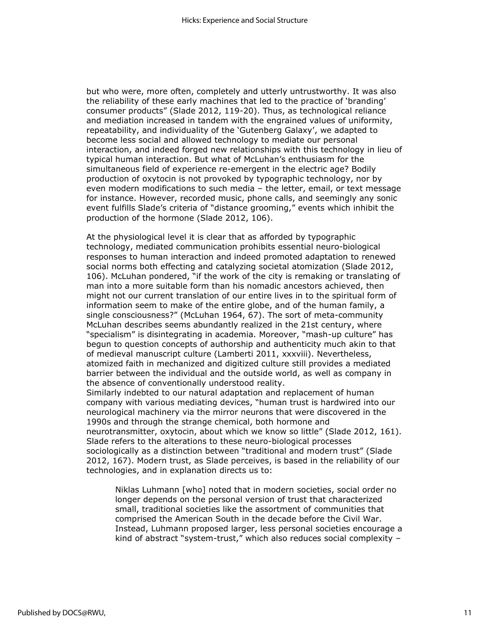but who were, more often, completely and utterly untrustworthy. It was also the reliability of these early machines that led to the practice of 'branding' consumer products" (Slade 2012, 119-20). Thus, as technological reliance and mediation increased in tandem with the engrained values of uniformity, repeatability, and individuality of the 'Gutenberg Galaxy', we adapted to become less social and allowed technology to mediate our personal interaction, and indeed forged new relationships with this technology in lieu of typical human interaction. But what of McLuhan's enthusiasm for the simultaneous field of experience re-emergent in the electric age? Bodily production of oxytocin is not provoked by typographic technology, nor by even modern modifications to such media – the letter, email, or text message for instance. However, recorded music, phone calls, and seemingly any sonic event fulfills Slade's criteria of "distance grooming," events which inhibit the production of the hormone (Slade 2012, 106).

At the physiological level it is clear that as afforded by typographic technology, mediated communication prohibits essential neuro-biological responses to human interaction and indeed promoted adaptation to renewed social norms both effecting and catalyzing societal atomization (Slade 2012, 106). McLuhan pondered, "if the work of the city is remaking or translating of man into a more suitable form than his nomadic ancestors achieved, then might not our current translation of our entire lives in to the spiritual form of information seem to make of the entire globe, and of the human family, a single consciousness?" (McLuhan 1964, 67). The sort of meta-community McLuhan describes seems abundantly realized in the 21st century, where "specialism" is disintegrating in academia. Moreover, "mash-up culture" has begun to question concepts of authorship and authenticity much akin to that of medieval manuscript culture (Lamberti 2011, xxxviii). Nevertheless, atomized faith in mechanized and digitized culture still provides a mediated barrier between the individual and the outside world, as well as company in the absence of conventionally understood reality.

Similarly indebted to our natural adaptation and replacement of human company with various mediating devices, "human trust is hardwired into our neurological machinery via the mirror neurons that were discovered in the 1990s and through the strange chemical, both hormone and neurotransmitter, oxytocin, about which we know so little" (Slade 2012, 161). Slade refers to the alterations to these neuro-biological processes sociologically as a distinction between "traditional and modern trust" (Slade 2012, 167). Modern trust, as Slade perceives, is based in the reliability of our technologies, and in explanation directs us to:

Niklas Luhmann [who] noted that in modern societies, social order no longer depends on the personal version of trust that characterized small, traditional societies like the assortment of communities that comprised the American South in the decade before the Civil War. Instead, Luhmann proposed larger, less personal societies encourage a kind of abstract "system-trust," which also reduces social complexity –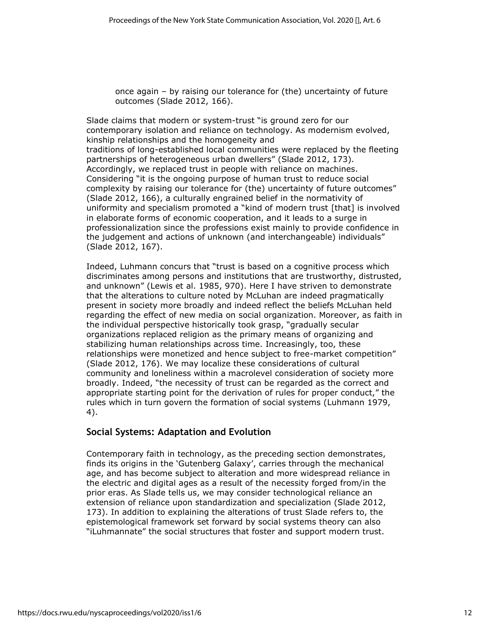once again – by raising our tolerance for (the) uncertainty of future outcomes (Slade 2012, 166).

Slade claims that modern or system-trust "is ground zero for our contemporary isolation and reliance on technology. As modernism evolved, kinship relationships and the homogeneity and traditions of long-established local communities were replaced by the fleeting partnerships of heterogeneous urban dwellers" (Slade 2012, 173). Accordingly, we replaced trust in people with reliance on machines. Considering "it is the ongoing purpose of human trust to reduce social complexity by raising our tolerance for (the) uncertainty of future outcomes" (Slade 2012, 166), a culturally engrained belief in the normativity of uniformity and specialism promoted a "kind of modern trust [that] is involved in elaborate forms of economic cooperation, and it leads to a surge in professionalization since the professions exist mainly to provide confidence in the judgement and actions of unknown (and interchangeable) individuals" (Slade 2012, 167).

Indeed, Luhmann concurs that "trust is based on a cognitive process which discriminates among persons and institutions that are trustworthy, distrusted, and unknown" (Lewis et al. 1985, 970). Here I have striven to demonstrate that the alterations to culture noted by McLuhan are indeed pragmatically present in society more broadly and indeed reflect the beliefs McLuhan held regarding the effect of new media on social organization. Moreover, as faith in the individual perspective historically took grasp, "gradually secular organizations replaced religion as the primary means of organizing and stabilizing human relationships across time. Increasingly, too, these relationships were monetized and hence subject to free-market competition" (Slade 2012, 176). We may localize these considerations of cultural community and loneliness within a macrolevel consideration of society more broadly. Indeed, "the necessity of trust can be regarded as the correct and appropriate starting point for the derivation of rules for proper conduct," the rules which in turn govern the formation of social systems (Luhmann 1979, 4).

# **Social Systems: Adaptation and Evolution**

Contemporary faith in technology, as the preceding section demonstrates, finds its origins in the 'Gutenberg Galaxy', carries through the mechanical age, and has become subject to alteration and more widespread reliance in the electric and digital ages as a result of the necessity forged from/in the prior eras. As Slade tells us, we may consider technological reliance an extension of reliance upon standardization and specialization (Slade 2012, 173). In addition to explaining the alterations of trust Slade refers to, the epistemological framework set forward by social systems theory can also "iLuhmannate" the social structures that foster and support modern trust.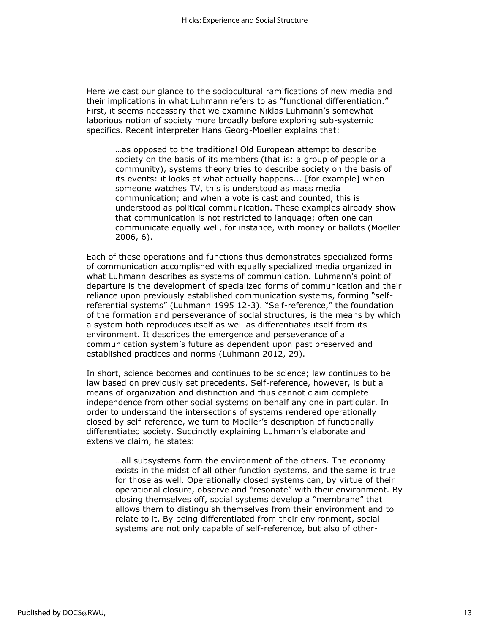Here we cast our glance to the sociocultural ramifications of new media and their implications in what Luhmann refers to as "functional differentiation." First, it seems necessary that we examine Niklas Luhmann's somewhat laborious notion of society more broadly before exploring sub-systemic specifics. Recent interpreter Hans Georg-Moeller explains that:

…as opposed to the traditional Old European attempt to describe society on the basis of its members (that is: a group of people or a community), systems theory tries to describe society on the basis of its events: it looks at what actually happens... [for example] when someone watches TV, this is understood as mass media communication; and when a vote is cast and counted, this is understood as political communication. These examples already show that communication is not restricted to language; often one can communicate equally well, for instance, with money or ballots (Moeller 2006, 6).

Each of these operations and functions thus demonstrates specialized forms of communication accomplished with equally specialized media organized in what Luhmann describes as systems of communication. Luhmann's point of departure is the development of specialized forms of communication and their reliance upon previously established communication systems, forming "selfreferential systems" (Luhmann 1995 12-3). "Self-reference," the foundation of the formation and perseverance of social structures, is the means by which a system both reproduces itself as well as differentiates itself from its environment. It describes the emergence and perseverance of a communication system's future as dependent upon past preserved and established practices and norms (Luhmann 2012, 29).

In short, science becomes and continues to be science; law continues to be law based on previously set precedents. Self-reference, however, is but a means of organization and distinction and thus cannot claim complete independence from other social systems on behalf any one in particular. In order to understand the intersections of systems rendered operationally closed by self-reference, we turn to Moeller's description of functionally differentiated society. Succinctly explaining Luhmann's elaborate and extensive claim, he states:

…all subsystems form the environment of the others. The economy exists in the midst of all other function systems, and the same is true for those as well. Operationally closed systems can, by virtue of their operational closure, observe and "resonate" with their environment. By closing themselves off, social systems develop a "membrane" that allows them to distinguish themselves from their environment and to relate to it. By being differentiated from their environment, social systems are not only capable of self-reference, but also of other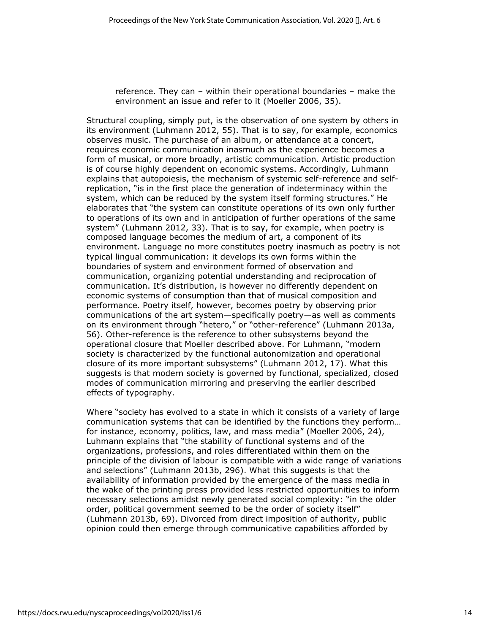reference. They can – within their operational boundaries – make the environment an issue and refer to it (Moeller 2006, 35).

Structural coupling, simply put, is the observation of one system by others in its environment (Luhmann 2012, 55). That is to say, for example, economics observes music. The purchase of an album, or attendance at a concert, requires economic communication inasmuch as the experience becomes a form of musical, or more broadly, artistic communication. Artistic production is of course highly dependent on economic systems. Accordingly, Luhmann explains that autopoiesis, the mechanism of systemic self-reference and selfreplication, "is in the first place the generation of indeterminacy within the system, which can be reduced by the system itself forming structures." He elaborates that "the system can constitute operations of its own only further to operations of its own and in anticipation of further operations of the same system" (Luhmann 2012, 33). That is to say, for example, when poetry is composed language becomes the medium of art, a component of its environment. Language no more constitutes poetry inasmuch as poetry is not typical lingual communication: it develops its own forms within the boundaries of system and environment formed of observation and communication, organizing potential understanding and reciprocation of communication. It's distribution, is however no differently dependent on economic systems of consumption than that of musical composition and performance. Poetry itself, however, becomes poetry by observing prior communications of the art system—specifically poetry—as well as comments on its environment through "hetero," or "other-reference" (Luhmann 2013a, 56). Other-reference is the reference to other subsystems beyond the operational closure that Moeller described above. For Luhmann, "modern society is characterized by the functional autonomization and operational closure of its more important subsystems" (Luhmann 2012, 17). What this suggests is that modern society is governed by functional, specialized, closed modes of communication mirroring and preserving the earlier described effects of typography.

Where "society has evolved to a state in which it consists of a variety of large communication systems that can be identified by the functions they perform… for instance, economy, politics, law, and mass media" (Moeller 2006, 24), Luhmann explains that "the stability of functional systems and of the organizations, professions, and roles differentiated within them on the principle of the division of labour is compatible with a wide range of variations and selections" (Luhmann 2013b, 296). What this suggests is that the availability of information provided by the emergence of the mass media in the wake of the printing press provided less restricted opportunities to inform necessary selections amidst newly generated social complexity: "in the older order, political government seemed to be the order of society itself" (Luhmann 2013b, 69). Divorced from direct imposition of authority, public opinion could then emerge through communicative capabilities afforded by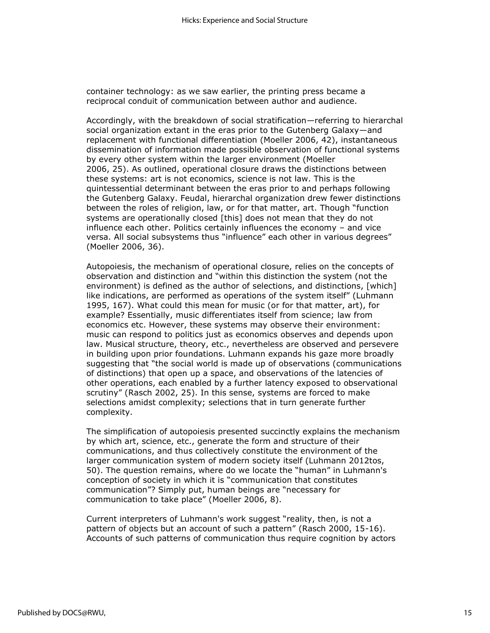container technology: as we saw earlier, the printing press became a reciprocal conduit of communication between author and audience.

Accordingly, with the breakdown of social stratification—referring to hierarchal social organization extant in the eras prior to the Gutenberg Galaxy—and replacement with functional differentiation (Moeller 2006, 42), instantaneous dissemination of information made possible observation of functional systems by every other system within the larger environment (Moeller 2006, 25). As outlined, operational closure draws the distinctions between these systems: art is not economics, science is not law. This is the quintessential determinant between the eras prior to and perhaps following the Gutenberg Galaxy. Feudal, hierarchal organization drew fewer distinctions between the roles of religion, law, or for that matter, art. Though "function systems are operationally closed [this] does not mean that they do not influence each other. Politics certainly influences the economy – and vice versa. All social subsystems thus "influence" each other in various degrees" (Moeller 2006, 36).

Autopoiesis, the mechanism of operational closure, relies on the concepts of observation and distinction and "within this distinction the system (not the environment) is defined as the author of selections, and distinctions, [which] like indications, are performed as operations of the system itself" (Luhmann 1995, 167). What could this mean for music (or for that matter, art), for example? Essentially, music differentiates itself from science; law from economics etc. However, these systems may observe their environment: music can respond to politics just as economics observes and depends upon law. Musical structure, theory, etc., nevertheless are observed and persevere in building upon prior foundations. Luhmann expands his gaze more broadly suggesting that "the social world is made up of observations (communications of distinctions) that open up a space, and observations of the latencies of other operations, each enabled by a further latency exposed to observational scrutiny" (Rasch 2002, 25). In this sense, systems are forced to make selections amidst complexity; selections that in turn generate further complexity.

The simplification of autopoiesis presented succinctly explains the mechanism by which art, science, etc., generate the form and structure of their communications, and thus collectively constitute the environment of the larger communication system of modern society itself (Luhmann 2012tos, 50). The question remains, where do we locate the "human" in Luhmann's conception of society in which it is "communication that constitutes communication"? Simply put, human beings are "necessary for communication to take place" (Moeller 2006, 8).

Current interpreters of Luhmann's work suggest "reality, then, is not a pattern of objects but an account of such a pattern" (Rasch 2000, 15-16). Accounts of such patterns of communication thus require cognition by actors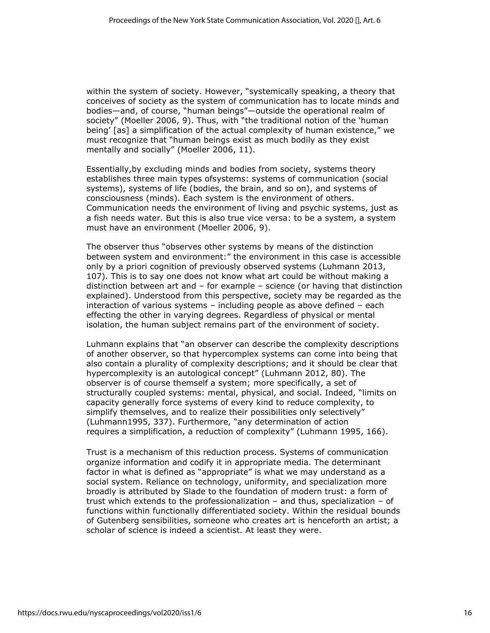within the system of society. However, "systemically speaking, a theory that conceives of society as the system of communication has to locate minds and bodies—and, of course, "human beings"—outside the operational realm of society" (Moeller 2006, 9). Thus, with "the traditional notion of the 'human being' [as] a simplification of the actual complexity of human existence," we must recognize that "human beings exist as much bodily as they exist mentally and socially" (Moeller 2006, 11).

Essentially,by excluding minds and bodies from society, systems theory establishes three main types ofsystems: systems of communication (social systems), systems of life (bodies, the brain, and so on), and systems of consciousness (minds). Each system is the environment of others. Communication needs the environment of living and psychic systems, just as a fish needs water. But this is also true vice versa: to be a system, a system must have an environment (Moeller 2006, 9).

The observer thus "observes other systems by means of the distinction between system and environment:" the environment in this case is accessible only by a priori cognition of previously observed systems (Luhmann 2013, 107). This is to say one does not know what art could be without making a distinction between art and – for example – science (or having that distinction explained). Understood from this perspective, society may be regarded as the interaction of various systems – including people as above defined – each effecting the other in varying degrees. Regardless of physical or mental isolation, the human subject remains part of the environment of society.

Luhmann explains that "an observer can describe the complexity descriptions of another observer, so that hypercomplex systems can come into being that also contain a plurality of complexity descriptions; and it should be clear that hypercomplexity is an autological concept" (Luhmann 2012, 80). The observer is of course themself a system; more specifically, a set of structurally coupled systems: mental, physical, and social. Indeed, "limits on capacity generally force systems of every kind to reduce complexity, to simplify themselves, and to realize their possibilities only selectively" (Luhmann1995, 337). Furthermore, "any determination of action requires a simplification, a reduction of complexity" (Luhmann 1995, 166).

Trust is a mechanism of this reduction process. Systems of communication organize information and codify it in appropriate media. The determinant factor in what is defined as "appropriate" is what we may understand as a social system. Reliance on technology, uniformity, and specialization more broadly is attributed by Slade to the foundation of modern trust: a form of trust which extends to the professionalization – and thus, specialization – of functions within functionally differentiated society. Within the residual bounds of Gutenberg sensibilities, someone who creates art is henceforth an artist; a scholar of science is indeed a scientist. At least they were.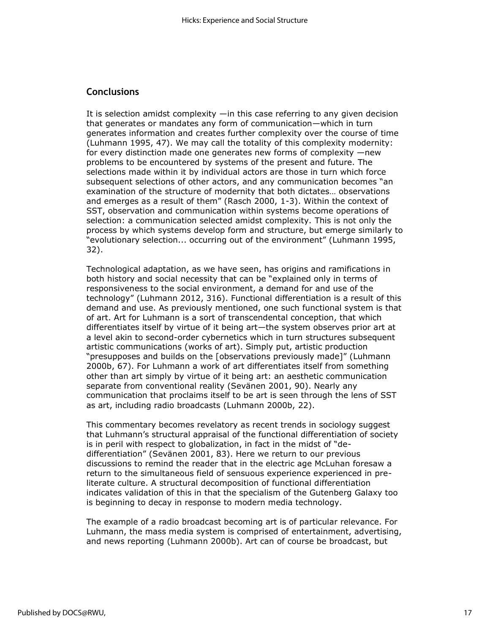## **Conclusions**

It is selection amidst complexity —in this case referring to any given decision that generates or mandates any form of communication—which in turn generates information and creates further complexity over the course of time (Luhmann 1995, 47). We may call the totality of this complexity modernity: for every distinction made one generates new forms of complexity —new problems to be encountered by systems of the present and future. The selections made within it by individual actors are those in turn which force subsequent selections of other actors, and any communication becomes "an examination of the structure of modernity that both dictates… observations and emerges as a result of them" (Rasch 2000, 1-3). Within the context of SST, observation and communication within systems become operations of selection: a communication selected amidst complexity. This is not only the process by which systems develop form and structure, but emerge similarly to "evolutionary selection... occurring out of the environment" (Luhmann 1995, 32).

Technological adaptation, as we have seen, has origins and ramifications in both history and social necessity that can be "explained only in terms of responsiveness to the social environment, a demand for and use of the technology" (Luhmann 2012, 316). Functional differentiation is a result of this demand and use. As previously mentioned, one such functional system is that of art. Art for Luhmann is a sort of transcendental conception, that which differentiates itself by virtue of it being art—the system observes prior art at a level akin to second-order cybernetics which in turn structures subsequent artistic communications (works of art). Simply put, artistic production "presupposes and builds on the [observations previously made]" (Luhmann 2000b, 67). For Luhmann a work of art differentiates itself from something other than art simply by virtue of it being art: an aesthetic communication separate from conventional reality (Sevänen 2001, 90). Nearly any communication that proclaims itself to be art is seen through the lens of SST as art, including radio broadcasts (Luhmann 2000b, 22).

This commentary becomes revelatory as recent trends in sociology suggest that Luhmann's structural appraisal of the functional differentiation of society is in peril with respect to globalization, in fact in the midst of "dedifferentiation" (Sevänen 2001, 83). Here we return to our previous discussions to remind the reader that in the electric age McLuhan foresaw a return to the simultaneous field of sensuous experience experienced in preliterate culture. A structural decomposition of functional differentiation indicates validation of this in that the specialism of the Gutenberg Galaxy too is beginning to decay in response to modern media technology.

The example of a radio broadcast becoming art is of particular relevance. For Luhmann, the mass media system is comprised of entertainment, advertising, and news reporting (Luhmann 2000b). Art can of course be broadcast, but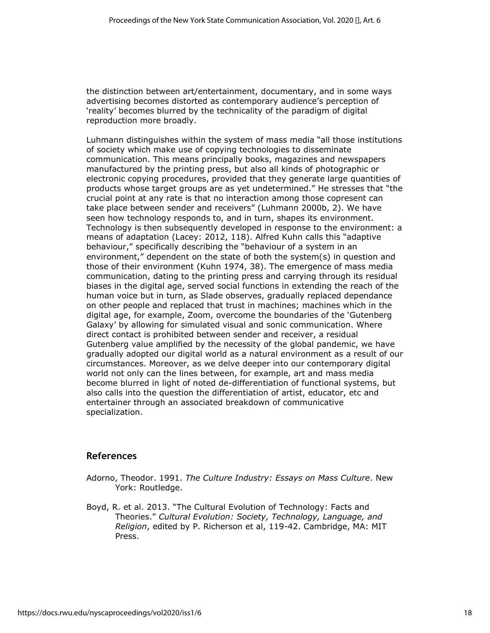the distinction between art/entertainment, documentary, and in some ways advertising becomes distorted as contemporary audience's perception of 'reality' becomes blurred by the technicality of the paradigm of digital reproduction more broadly.

Luhmann distinguishes within the system of mass media "all those institutions of society which make use of copying technologies to disseminate communication. This means principally books, magazines and newspapers manufactured by the printing press, but also all kinds of photographic or electronic copying procedures, provided that they generate large quantities of products whose target groups are as yet undetermined." He stresses that "the crucial point at any rate is that no interaction among those copresent can take place between sender and receivers" (Luhmann 2000b, 2). We have seen how technology responds to, and in turn, shapes its environment. Technology is then subsequently developed in response to the environment: a means of adaptation (Lacey: 2012, 118). Alfred Kuhn calls this "adaptive behaviour," specifically describing the "behaviour of a system in an environment," dependent on the state of both the system(s) in question and those of their environment (Kuhn 1974, 38). The emergence of mass media communication, dating to the printing press and carrying through its residual biases in the digital age, served social functions in extending the reach of the human voice but in turn, as Slade observes, gradually replaced dependance on other people and replaced that trust in machines; machines which in the digital age, for example, Zoom, overcome the boundaries of the 'Gutenberg Galaxy' by allowing for simulated visual and sonic communication. Where direct contact is prohibited between sender and receiver, a residual Gutenberg value amplified by the necessity of the global pandemic, we have gradually adopted our digital world as a natural environment as a result of our circumstances. Moreover, as we delve deeper into our contemporary digital world not only can the lines between, for example, art and mass media become blurred in light of noted de-differentiation of functional systems, but also calls into the question the differentiation of artist, educator, etc and entertainer through an associated breakdown of communicative specialization.

#### **References**

- Adorno, Theodor. 1991. *The Culture Industry: Essays on Mass Culture*. New York: Routledge.
- Boyd, R. et al. 2013. "The Cultural Evolution of Technology: Facts and Theories." *Cultural Evolution: Society, Technology, Language, and Religion*, edited by P. Richerson et al, 119-42. Cambridge, MA: MIT Press.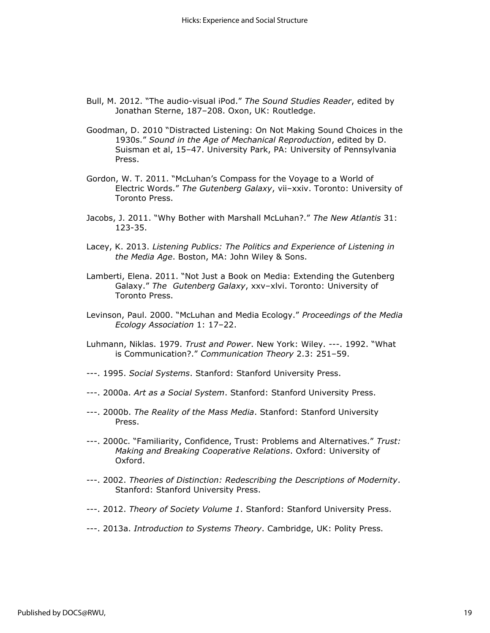- Bull, M. 2012. "The audio-visual iPod." *The Sound Studies Reader*, edited by Jonathan Sterne, 187–208. Oxon, UK: Routledge.
- Goodman, D. 2010 "Distracted Listening: On Not Making Sound Choices in the 1930s." *Sound in the Age of Mechanical Reproduction*, edited by D. Suisman et al, 15–47. University Park, PA: University of Pennsylvania Press.
- Gordon, W. T. 2011. "McLuhan's Compass for the Voyage to a World of Electric Words." *The Gutenberg Galaxy*, vii–xxiv. Toronto: University of Toronto Press.
- Jacobs, J. 2011. "Why Bother with Marshall McLuhan?." *The New Atlantis* 31: 123-35.
- Lacey, K. 2013. *Listening Publics: The Politics and Experience of Listening in the Media Age*. Boston, MA: John Wiley & Sons.
- Lamberti, Elena. 2011. "Not Just a Book on Media: Extending the Gutenberg Galaxy." *The Gutenberg Galaxy*, xxv–xlvi. Toronto: University of Toronto Press.
- Levinson, Paul. 2000. "McLuhan and Media Ecology." *Proceedings of the Media Ecology Association* 1: 17–22.
- Luhmann, Niklas. 1979. *Trust and Power*. New York: Wiley. ---. 1992. "What is Communication?." *Communication Theory* 2.3: 251–59.
- ---. 1995. *Social Systems*. Stanford: Stanford University Press.
- ---. 2000a. *Art as a Social System*. Stanford: Stanford University Press.
- ---. 2000b. *The Reality of the Mass Media*. Stanford: Stanford University Press.
- ---. 2000c. "Familiarity, Confidence, Trust: Problems and Alternatives." *Trust: Making and Breaking Cooperative Relations*. Oxford: University of Oxford.
- ---. 2002. *Theories of Distinction: Redescribing the Descriptions of Modernity*. Stanford: Stanford University Press.
- ---. 2012. *Theory of Society Volume 1*. Stanford: Stanford University Press.
- ---. 2013a. *Introduction to Systems Theory*. Cambridge, UK: Polity Press.